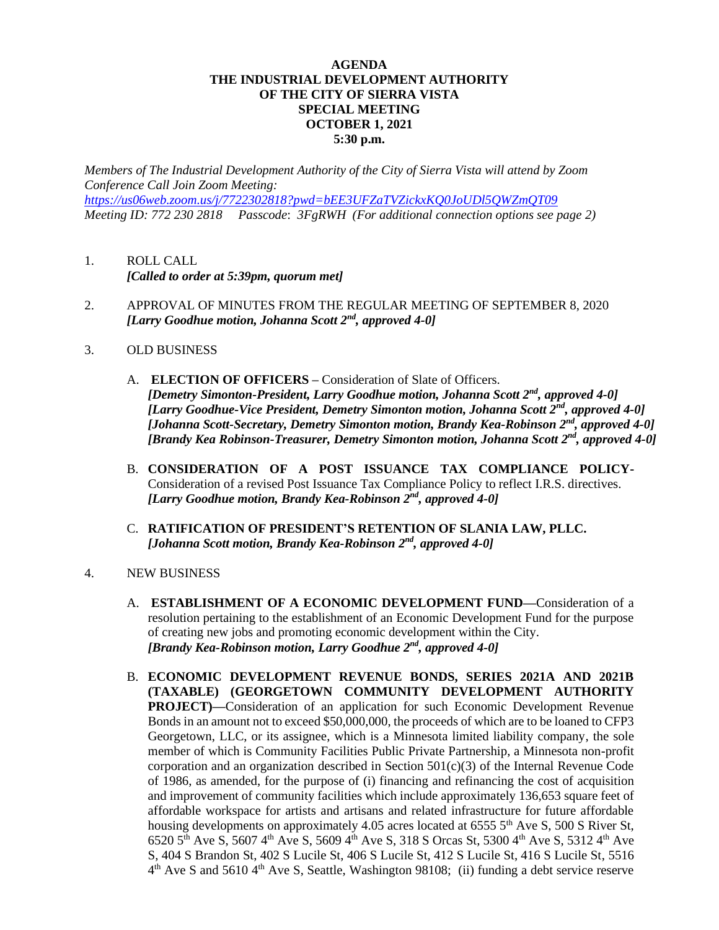## **AGENDA THE INDUSTRIAL DEVELOPMENT AUTHORITY OF THE CITY OF SIERRA VISTA SPECIAL MEETING OCTOBER 1, 2021 5:30 p.m.**

*Members of The Industrial Development Authority of the City of Sierra Vista will attend by Zoom Conference Call Join Zoom Meeting: <https://us06web.zoom.us/j/7722302818?pwd=bEE3UFZaTVZickxKQ0JoUDl5QWZmQT09> Meeting ID: 772 230 2818 Passcode*: *3FgRWH (For additional connection options see page 2)*

- 1. ROLL CALL *[Called to order at 5:39pm, quorum met]*
- 2. APPROVAL OF MINUTES FROM THE REGULAR MEETING OF SEPTEMBER 8, 2020 *[Larry Goodhue motion, Johanna Scott 2nd, approved 4-0]*
- 3. OLD BUSINESS
	- A. **ELECTION OF OFFICERS –** Consideration of Slate of Officers. *[Demetry Simonton-President, Larry Goodhue motion, Johanna Scott 2nd, approved 4-0] [Larry Goodhue-Vice President, Demetry Simonton motion, Johanna Scott 2nd, approved 4-0] [Johanna Scott-Secretary, Demetry Simonton motion, Brandy Kea-Robinson 2nd, approved 4-0] [Brandy Kea Robinson-Treasurer, Demetry Simonton motion, Johanna Scott 2 nd, approved 4-0]*
	- B. **CONSIDERATION OF A POST ISSUANCE TAX COMPLIANCE POLICY-**Consideration of a revised Post Issuance Tax Compliance Policy to reflect I.R.S. directives. *[Larry Goodhue motion, Brandy Kea-Robinson 2nd, approved 4-0]*
	- C. **RATIFICATION OF PRESIDENT'S RETENTION OF SLANIA LAW, PLLC.** *[Johanna Scott motion, Brandy Kea-Robinson 2nd, approved 4-0]*
- 4. NEW BUSINESS
	- A. **ESTABLISHMENT OF A ECONOMIC DEVELOPMENT FUND—**Consideration of a resolution pertaining to the establishment of an Economic Development Fund for the purpose of creating new jobs and promoting economic development within the City. *[Brandy Kea-Robinson motion, Larry Goodhue 2nd, approved 4-0]*
	- B. **ECONOMIC DEVELOPMENT REVENUE BONDS, SERIES 2021A AND 2021B (TAXABLE) (GEORGETOWN COMMUNITY DEVELOPMENT AUTHORITY PROJECT)—**Consideration of an application for such Economic Development Revenue Bonds in an amount not to exceed \$50,000,000, the proceeds of which are to be loaned to CFP3 Georgetown, LLC, or its assignee, which is a Minnesota limited liability company, the sole member of which is Community Facilities Public Private Partnership, a Minnesota non-profit corporation and an organization described in Section  $501(c)(3)$  of the Internal Revenue Code of 1986, as amended, for the purpose of (i) financing and refinancing the cost of acquisition and improvement of community facilities which include approximately 136,653 square feet of affordable workspace for artists and artisans and related infrastructure for future affordable housing developments on approximately 4.05 acres located at  $65555^{th}$  Ave S, 500 S River St, 6520 5th Ave S, 5607 4th Ave S, 5609 4th Ave S, 318 S Orcas St, 5300 4th Ave S, 5312 4th Ave S, 404 S Brandon St, 402 S Lucile St, 406 S Lucile St, 412 S Lucile St, 416 S Lucile St, 5516  $4<sup>th</sup>$  Ave S and 5610  $4<sup>th</sup>$  Ave S, Seattle, Washington 98108; (ii) funding a debt service reserve